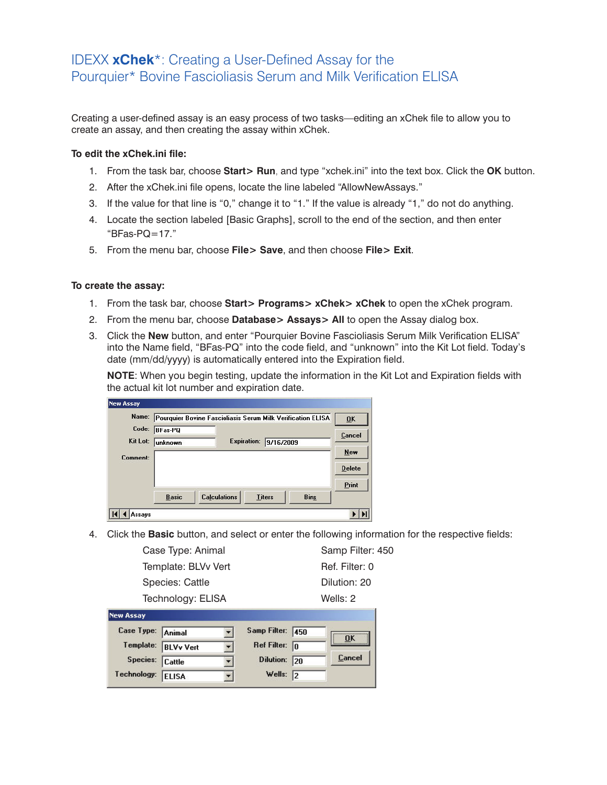## IDEXX **xChek**\*: Creating a User-Defined Assay for the Pourquier\* Bovine Fascioliasis Serum and Milk Verification ELISA

Creating a user-defined assay is an easy process of two tasks—editing an xChek file to allow you to create an assay, and then creating the assay within xChek.

## **To edit the xChek.ini file:**

- 1. From the task bar, choose **Start> Run**, and type "xchek.ini" into the text box. Click the **OK** button.
- 2. After the xChek.ini file opens, locate the line labeled "AllowNewAssays."
- 3. If the value for that line is "0," change it to "1." If the value is already "1," do not do anything.
- 4. Locate the section labeled [Basic Graphs], scroll to the end of the section, and then enter " $BFs-PO=17"$
- 5. From the menu bar, choose **File> Save**, and then choose **File> Exit**.

## **To create the assay:**

- 1. From the task bar, choose **Start> Programs> xChek> xChek** to open the xChek program.
- 2. From the menu bar, choose **Database> Assays> All** to open the Assay dialog box.
- 3. Click the **New** button, and enter "Pourquier Bovine Fascioliasis Serum Milk Verification ELISA" into the Name field, "BFas-PQ" into the code field, and "unknown" into the Kit Lot field. Today's date (mm/dd/yyyy) is automatically entered into the Expiration field.

**NOTE**: When you begin testing, update the information in the Kit Lot and Expiration fields with the actual kit lot number and expiration date.

| Name:    | Pourquier Bovine Fascioliasis Serum Milk Verification ELISA |                     |                    |               |             | 0K            |
|----------|-------------------------------------------------------------|---------------------|--------------------|---------------|-------------|---------------|
| Code:    | <b>BFas-PQ</b>                                              |                     |                    |               |             | Cancel        |
| Kit Lot: | unknown                                                     |                     | <b>Expiration:</b> | 9/16/2009     |             |               |
| Comment: |                                                             |                     |                    |               |             | New           |
|          |                                                             |                     |                    |               |             | <b>Delete</b> |
|          |                                                             |                     |                    |               |             | Print         |
|          | <b>Basic</b>                                                | <b>Calculations</b> |                    | <b>Titers</b> | <b>Bins</b> |               |

4. Click the **Basic** button, and select or enter the following information for the respective fields:

| Case Type:<br>Animal | Samp Filter:<br>450 |
|----------------------|---------------------|
| <b>New Assay</b>     |                     |
| Technology: ELISA    | Wells: $2$          |
| Species: Cattle      | Dilution: 20        |
| Template: BLVv Vert  | Ref. Filter: 0      |
| Case Type: Animal    | Samp Filter: 450    |
|                      |                     |

| Case Type: Animal |                     | Samp Filter: 450        | <b>OK</b> |
|-------------------|---------------------|-------------------------|-----------|
|                   | Template: BLVv Vert | Ref Filter: $\boxed{0}$ |           |
| Species: Cattle   |                     | Dilution: 20            | Cancel    |
| Technology: ELISA |                     | Wells: $\sqrt{2}$       |           |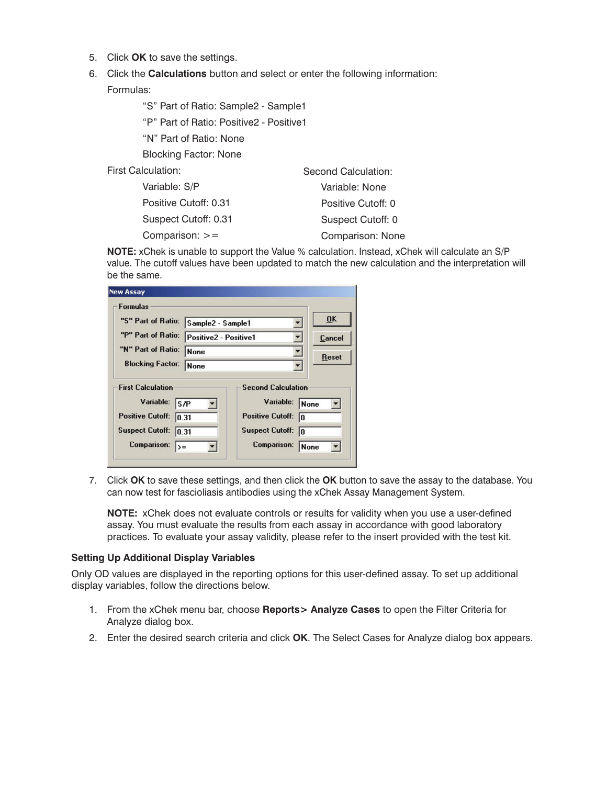- 5. Click **OK** to save the settings.
- 6. Click the **Calculations** button and select or enter the following information:

Formulas:

"S" Part of Ratio: Sample2 - Sample1

"P" Part of Ratio: Positive2 - Positive1

"N" Part of Ratio: None

Blocking Factor: None

First Calculation:

| Variable: S/P         | Variable: None     |
|-----------------------|--------------------|
| Positive Cutoff: 0.31 | Positive Cutoff: 0 |
| Suspect Cutoff: 0.31  | Suspect Cutoff: 0  |
| Comparison: $>=$      | Comparison: None   |

**NOTE:** xChek is unable to support the Value % calculation. Instead, xChek will calculate an S/P value. The cutoff values have been updated to match the new calculation and the interpretation will be the same.

Second Calculation:

| <b>Formulas</b>                                                                            |                       |                                                                                             |                  |
|--------------------------------------------------------------------------------------------|-----------------------|---------------------------------------------------------------------------------------------|------------------|
| "S" Part of Ratio:                                                                         | Sample2 - Sample1     | 0K                                                                                          |                  |
| "P" Part of Ratio:                                                                         | Positive2 - Positive1 |                                                                                             | Cancel           |
| "N" Part of Ratio:                                                                         | <b>None</b>           |                                                                                             | <b>Reset</b>     |
| <b>Blocking Factor:</b>                                                                    | <b>None</b>           |                                                                                             |                  |
| <b>First Calculation</b><br>Variable:<br><b>Positive Cutoff:</b><br><b>Suspect Cutoff:</b> | S/P<br>IN 31<br> 0.31 | <b>Second Calculation</b><br>Variable:<br><b>Positive Cutoff:</b><br><b>Suspect Cutoff:</b> | None<br>In<br>In |

7. Click **OK** to save these settings, and then click the **OK** button to save the assay to the database. You can now test for fascioliasis antibodies using the xChek Assay Management System.

**NOTE:** xChek does not evaluate controls or results for validity when you use a user-defined assay. You must evaluate the results from each assay in accordance with good laboratory practices. To evaluate your assay validity, please refer to the insert provided with the test kit.

## **Setting Up Additional Display Variables**

Only OD values are displayed in the reporting options for this user-defined assay. To set up additional display variables, follow the directions below.

- 1. From the xChek menu bar, choose **Reports> Analyze Cases** to open the Filter Criteria for Analyze dialog box.
- 2. Enter the desired search criteria and click **OK**. The Select Cases for Analyze dialog box appears.